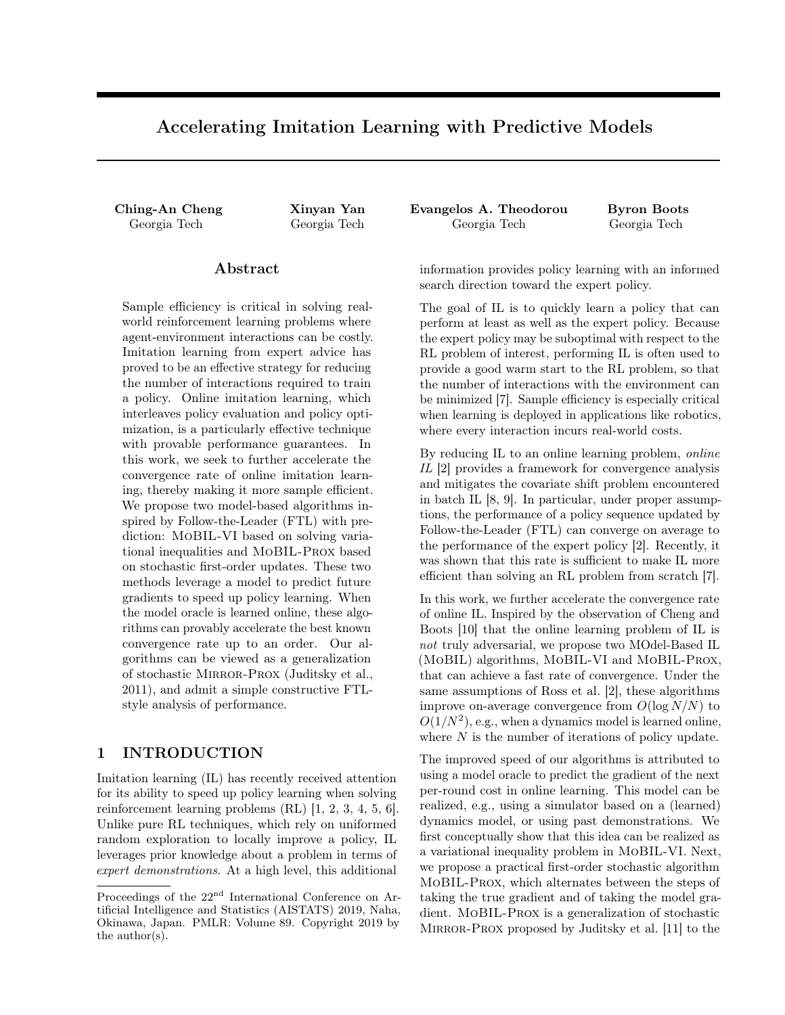# Accelerating Imitation Learning with Predictive Models

## Abstract

Sample efficiency is critical in solving realworld reinforcement learning problems where agent-environment interactions can be costly. Imitation learning from expert advice has proved to be an effective strategy for reducing the number of interactions required to train a policy. Online imitation learning, which interleaves policy evaluation and policy optimization, is a particularly effective technique with provable performance guarantees. In this work, we seek to further accelerate the convergence rate of online imitation learning, thereby making it more sample efficient. We propose two model-based algorithms inspired by Follow-the-Leader (FTL) with prediction: MoBIL-VI based on solving variational inequalities and MoBIL-Prox based on stochastic first-order updates. These two methods leverage a model to predict future gradients to speed up policy learning. When the model oracle is learned online, these algorithms can provably accelerate the best known convergence rate up to an order. Our algorithms can be viewed as a generalization of stochastic Mirror-Prox (Juditsky et al., 2011), and admit a simple constructive FTLstyle analysis of performance.

## 1 INTRODUCTION

Imitation learning (IL) has recently received attention for its ability to speed up policy learning when solving reinforcement learning problems (RL) [\[1,](#page-8-5) [2,](#page-8-2) [3,](#page-8-4) [4,](#page-8-0) [5,](#page-8-9) [6\]](#page-8-8). Unlike pure RL techniques, which rely on uniformed random exploration to locally improve a policy, IL leverages prior knowledge about a problem in terms of expert demonstrations. At a high level, this additional

Ching-An Cheng Xinyan Yan Evangelos A. Theodorou Byron Boots Georgia Tech Georgia Tech Georgia Tech Georgia Tech

information provides policy learning with an informed search direction toward the expert policy.

The goal of IL is to quickly learn a policy that can perform at least as well as the expert policy. Because the expert policy may be suboptimal with respect to the RL problem of interest, performing IL is often used to provide a good warm start to the RL problem, so that the number of interactions with the environment can be minimized [\[7\]](#page-8-3). Sample efficiency is especially critical when learning is deployed in applications like robotics, where every interaction incurs real-world costs.

By reducing IL to an online learning problem, online IL [\[2\]](#page-8-2) provides a framework for convergence analysis and mitigates the covariate shift problem encountered in batch IL [\[8,](#page-8-1) [9\]](#page-8-10). In particular, under proper assumptions, the performance of a policy sequence updated by Follow-the-Leader (FTL) can converge on average to the performance of the expert policy [\[2\]](#page-8-2). Recently, it was shown that this rate is sufficient to make IL more efficient than solving an RL problem from scratch [\[7\]](#page-8-3).

In this work, we further accelerate the convergence rate of online IL. Inspired by the observation of Cheng and Boots [\[10\]](#page-8-7) that the online learning problem of IL is not truly adversarial, we propose two MOdel-Based IL (MoBIL) algorithms, MoBIL-VI and MoBIL-Prox, that can achieve a fast rate of convergence. Under the same assumptions of Ross et al. [\[2\]](#page-8-2), these algorithms improve on-average convergence from  $O(\log N/N)$  to  $O(1/N^2)$ , e.g., when a dynamics model is learned online, where  $N$  is the number of iterations of policy update.

The improved speed of our algorithms is attributed to using a model oracle to predict the gradient of the next per-round cost in online learning. This model can be realized, e.g., using a simulator based on a (learned) dynamics model, or using past demonstrations. We first conceptually show that this idea can be realized as a variational inequality problem in MoBIL-VI. Next, we propose a practical first-order stochastic algorithm MoBIL-Prox, which alternates between the steps of taking the true gradient and of taking the model gradient. MoBIL-Prox is a generalization of stochastic Mirror-Prox proposed by Juditsky et al. [\[11\]](#page-8-6) to the

Proceedings of the 22<sup>nd</sup> International Conference on Artificial Intelligence and Statistics (AISTATS) 2019, Naha, Okinawa, Japan. PMLR: Volume 89. Copyright 2019 by the author(s).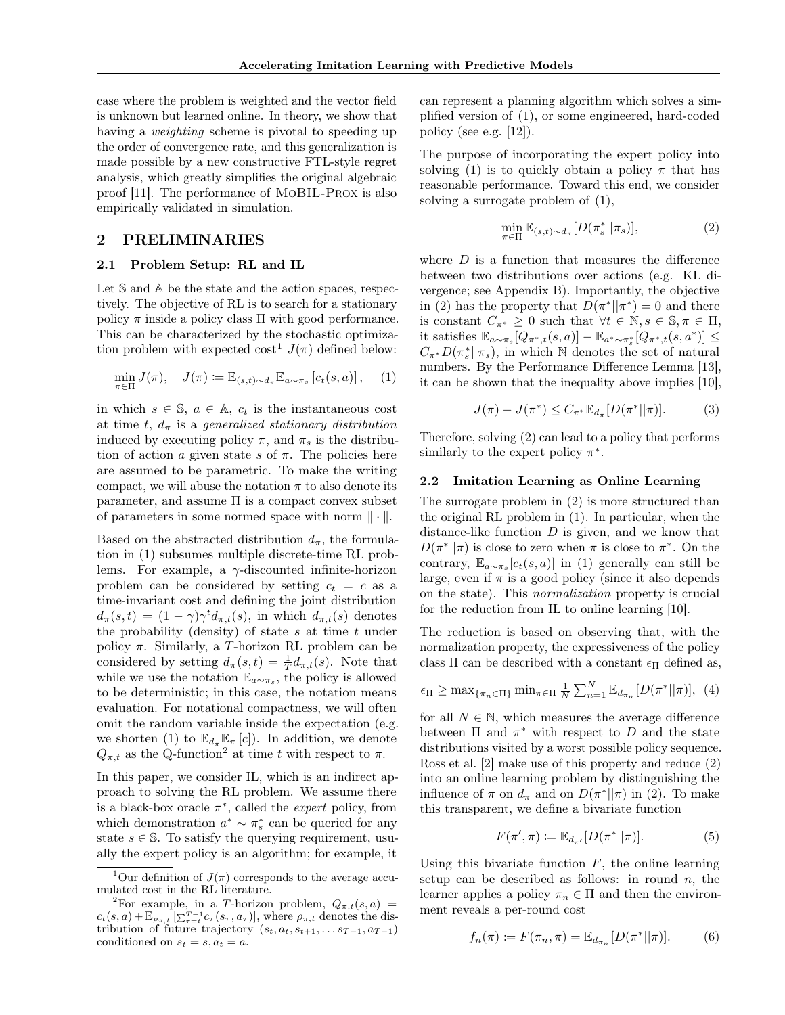case where the problem is weighted and the vector field is unknown but learned online. In theory, we show that having a *weighting* scheme is pivotal to speeding up the order of convergence rate, and this generalization is made possible by a new constructive FTL-style regret analysis, which greatly simplifies the original algebraic proof [\[11\]](#page-8-6). The performance of MoBIL-Prox is also empirically validated in simulation.

## 2 PRELIMINARIES

#### 2.1 Problem Setup: RL and IL

Let  $S$  and  $A$  be the state and the action spaces, respectively. The objective of RL is to search for a stationary policy  $\pi$  inside a policy class  $\Pi$  with good performance. This can be characterized by the stochastic optimiza-tion problem with expected cost<sup>[1](#page-1-1)</sup>  $J(\pi)$  defined below:

$$
\min_{\pi \in \Pi} J(\pi), \quad J(\pi) := \mathbb{E}_{(s,t) \sim d_{\pi}} \mathbb{E}_{a \sim \pi_s} \left[ c_t(s, a) \right], \quad (1)
$$

in which  $s \in \mathbb{S}$ ,  $a \in \mathbb{A}$ ,  $c_t$  is the instantaneous cost at time t,  $d_{\pi}$  is a generalized stationary distribution induced by executing policy  $\pi$ , and  $\pi_s$  is the distribution of action a given state s of  $\pi$ . The policies here are assumed to be parametric. To make the writing compact, we will abuse the notation  $\pi$  to also denote its parameter, and assume Π is a compact convex subset of parameters in some normed space with norm  $\|\cdot\|$ .

Based on the abstracted distribution  $d_{\pi}$ , the formulation in [\(1\)](#page-1-0) subsumes multiple discrete-time RL problems. For example, a  $\gamma$ -discounted infinite-horizon problem can be considered by setting  $c_t = c$  as a time-invariant cost and defining the joint distribution  $d_{\pi}(s,t) = (1-\gamma)\gamma^{t}d_{\pi,t}(s)$ , in which  $d_{\pi,t}(s)$  denotes the probability (density) of state  $s$  at time  $t$  under policy  $\pi$ . Similarly, a T-horizon RL problem can be considered by setting  $d_{\pi}(s,t) = \frac{1}{T}d_{\pi,t}(s)$ . Note that while we use the notation  $\mathbb{E}_{a \sim \pi_s}$ , the policy is allowed to be deterministic; in this case, the notation means evaluation. For notational compactness, we will often omit the random variable inside the expectation (e.g. we shorten [\(1\)](#page-1-0) to  $\mathbb{E}_{d_{\pi}}\mathbb{E}_{\pi} [c]$ . In addition, we denote  $Q_{\pi,t}$  as the Q-function<sup>[2](#page-1-3)</sup> at time t with respect to  $\pi$ .

In this paper, we consider IL, which is an indirect approach to solving the RL problem. We assume there is a black-box oracle  $\pi^*$ , called the *expert* policy, from which demonstration  $a^* \sim \pi_s^*$  can be queried for any state  $s \in \mathbb{S}$ . To satisfy the querying requirement, usually the expert policy is an algorithm; for example, it

can represent a planning algorithm which solves a simplified version of [\(1\)](#page-1-0), or some engineered, hard-coded policy (see e.g. [\[12\]](#page-8-11)).

The purpose of incorporating the expert policy into solving [\(1\)](#page-1-0) is to quickly obtain a policy  $\pi$  that has reasonable performance. Toward this end, we consider solving a surrogate problem of [\(1\)](#page-1-0),

<span id="page-1-2"></span>
$$
\min_{\pi \in \Pi} \mathbb{E}_{(s,t) \sim d_{\pi}} [D(\pi_s^* || \pi_s)],\tag{2}
$$

where  $D$  is a function that measures the difference between two distributions over actions (e.g. KL divergence; see Appendix B). Importantly, the objective in [\(2\)](#page-1-2) has the property that  $D(\pi^*||\pi^*)=0$  and there is constant  $C_{\pi^*} \geq 0$  such that  $\forall t \in \mathbb{N}, s \in \mathbb{S}, \pi \in \Pi$ , it satisfies  $\mathbb{E}_{a \sim \pi_s} [Q_{\pi^*,t}(s,a)] - \mathbb{E}_{a^* \sim \pi_s^*} [Q_{\pi^*,t}(s,a^*)] \le$  $C_{\pi^*}D(\pi^*_s||\pi_s)$ , in which N denotes the set of natural numbers. By the Performance Difference Lemma [\[13\]](#page-8-12), it can be shown that the inequality above implies [\[10\]](#page-8-7),

$$
J(\pi) - J(\pi^*) \le C_{\pi^*} \mathbb{E}_{d_{\pi}}[D(\pi^*||\pi)].
$$
 (3)

<span id="page-1-0"></span>Therefore, solving [\(2\)](#page-1-2) can lead to a policy that performs similarly to the expert policy  $\pi^*$ .

## 2.2 Imitation Learning as Online Learning

The surrogate problem in [\(2\)](#page-1-2) is more structured than the original RL problem in [\(1\)](#page-1-0). In particular, when the distance-like function  $D$  is given, and we know that  $D(\pi^*||\pi)$  is close to zero when  $\pi$  is close to  $\pi^*$ . On the contrary,  $\mathbb{E}_{a \sim \pi_s}[c_t(s, a)]$  in [\(1\)](#page-1-0) generally can still be large, even if  $\pi$  is a good policy (since it also depends on the state). This normalization property is crucial for the reduction from IL to online learning [\[10\]](#page-8-7).

The reduction is based on observing that, with the normalization property, the expressiveness of the policy class  $\Pi$  can be described with a constant  $\epsilon_{\Pi}$  defined as,

$$
\epsilon_{\Pi} \geq \max_{\{\pi_n \in \Pi\}} \min_{\pi \in \Pi} \frac{1}{N} \sum_{n=1}^N \mathbb{E}_{d_{\pi_n}}[D(\pi^* || \pi)], \tag{4}
$$

for all  $N \in \mathbb{N}$ , which measures the average difference between  $\Pi$  and  $\pi^*$  with respect to D and the state distributions visited by a worst possible policy sequence. Ross et al. [\[2\]](#page-8-2) make use of this property and reduce [\(2\)](#page-1-2) into an online learning problem by distinguishing the influence of  $\pi$  on  $d_{\pi}$  and on  $D(\pi^*||\pi)$  in [\(2\)](#page-1-2). To make this transparent, we define a bivariate function

<span id="page-1-6"></span><span id="page-1-5"></span><span id="page-1-4"></span>
$$
F(\pi', \pi) := \mathbb{E}_{d_{\pi'}}[D(\pi^*||\pi)].
$$
 (5)

Using this bivariate function  $F$ , the online learning setup can be described as follows: in round  $n$ , the learner applies a policy  $\pi_n \in \Pi$  and then the environment reveals a per-round cost

$$
f_n(\pi) := F(\pi_n, \pi) = \mathbb{E}_{d_{\pi_n}}[D(\pi^*||\pi)].
$$
 (6)

<span id="page-1-1"></span><sup>&</sup>lt;sup>1</sup>Our definition of  $J(\pi)$  corresponds to the average accumulated cost in the RL literature.

<span id="page-1-3"></span><sup>&</sup>lt;sup>2</sup>For example, in a T-horizon problem,  $Q_{\pi,t}(s, a)$  =  $c_t(s,a) + \mathbb{E}_{\rho_{\pi,t}}\left[\sum_{\tau=t}^{T-1} c_{\tau}(s_{\tau}, a_{\tau})\right],$  where  $\rho_{\pi,t}$  denotes the distribution of future trajectory  $(s_t, a_t, s_{t+1}, \ldots s_{T-1}, a_{T-1})$ conditioned on  $s_t = s, a_t = a$ .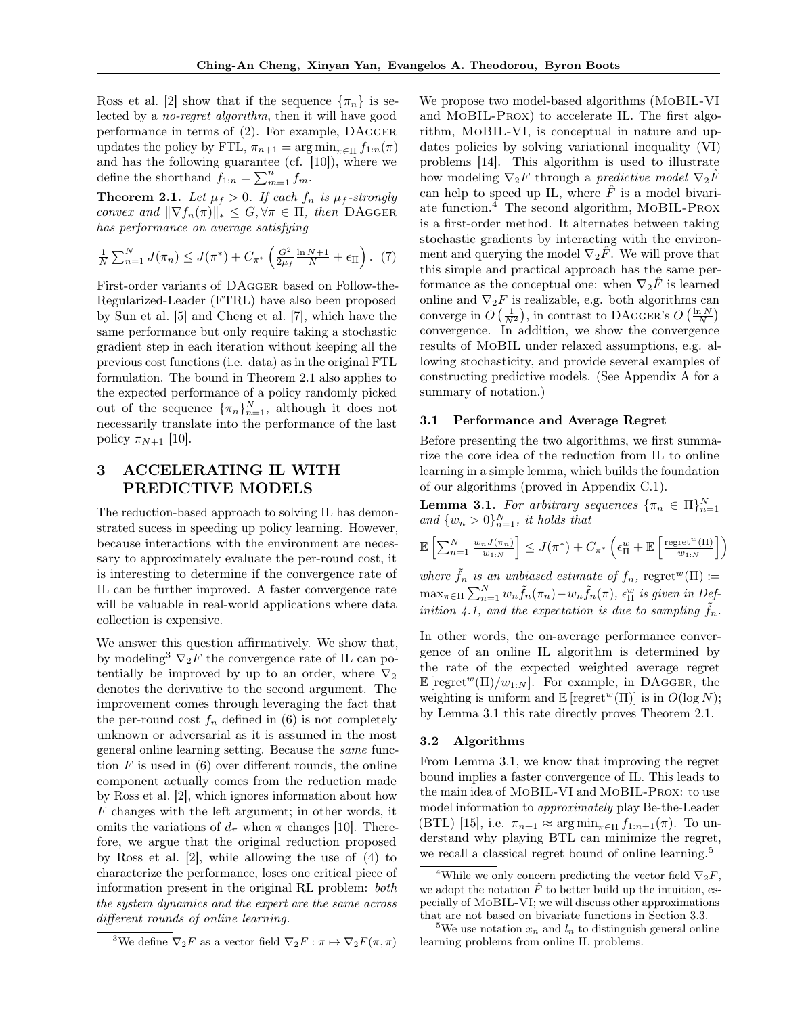Ross et al. [\[2\]](#page-8-2) show that if the sequence  $\{\pi_n\}$  is selected by a no-regret algorithm, then it will have good performance in terms of [\(2\)](#page-1-2). For example, DAgger updates the policy by FTL,  $\pi_{n+1} = \arg \min_{\pi \in \Pi} f_{1:n}(\pi)$ and has the following guarantee (cf. [\[10\]](#page-8-7)), where we define the shorthand  $f_{1:n} = \sum_{m=1}^{n} f_m$ .

<span id="page-2-3"></span>**Theorem 2.1.** Let  $\mu_f > 0$ . If each  $f_n$  is  $\mu_f$ -strongly convex and  $\|\nabla f_n(\pi)\|_* \leq G, \forall \pi \in \Pi$ , then DAGGER has performance on average satisfying

$$
\frac{1}{N} \sum_{n=1}^{N} J(\pi_n) \leq J(\pi^*) + C_{\pi^*} \left( \frac{G^2}{2\mu_f} \frac{\ln N + 1}{N} + \epsilon_{\Pi} \right). (7)
$$

First-order variants of DAgger based on Follow-the-Regularized-Leader (FTRL) have also been proposed by Sun et al. [\[5\]](#page-8-9) and Cheng et al. [\[7\]](#page-8-3), which have the same performance but only require taking a stochastic gradient step in each iteration without keeping all the previous cost functions (i.e. data) as in the original FTL formulation. The bound in Theorem [2.1](#page-2-3) also applies to the expected performance of a policy randomly picked out of the sequence  $\{\pi_n\}_{n=1}^N$ , although it does not necessarily translate into the performance of the last policy  $\pi_{N+1}$  [\[10\]](#page-8-7).

## 3 ACCELERATING IL WITH PREDICTIVE MODELS

The reduction-based approach to solving IL has demonstrated sucess in speeding up policy learning. However, because interactions with the environment are necessary to approximately evaluate the per-round cost, it is interesting to determine if the convergence rate of IL can be further improved. A faster convergence rate will be valuable in real-world applications where data collection is expensive.

We answer this question affirmatively. We show that, by modeling<sup>[3](#page-2-4)</sup>  $\nabla_2 F$  the convergence rate of IL can potentially be improved by up to an order, where  $\nabla_2$ denotes the derivative to the second argument. The improvement comes through leveraging the fact that the per-round cost  $f_n$  defined in [\(6\)](#page-1-5) is not completely unknown or adversarial as it is assumed in the most general online learning setting. Because the same function  $F$  is used in  $(6)$  over different rounds, the online component actually comes from the reduction made by Ross et al. [\[2\]](#page-8-2), which ignores information about how F changes with the left argument; in other words, it omits the variations of  $d_{\pi}$  when  $\pi$  changes [\[10\]](#page-8-7). Therefore, we argue that the original reduction proposed by Ross et al. [\[2\]](#page-8-2), while allowing the use of [\(4\)](#page-1-4) to characterize the performance, loses one critical piece of information present in the original RL problem: both the system dynamics and the expert are the same across different rounds of online learning.

We propose two model-based algorithms (MoBIL-VI and MoBIL-Prox) to accelerate IL. The first algorithm, MoBIL-VI, is conceptual in nature and updates policies by solving variational inequality (VI) problems [\[14\]](#page-8-14). This algorithm is used to illustrate how modeling  $\nabla_2 F$  through a predictive model  $\nabla_2 \hat{F}$ can help to speed up IL, where  $\ddot{F}$  is a model bivariate function.[4](#page-2-0) The second algorithm, MoBIL-Prox is a first-order method. It alternates between taking stochastic gradients by interacting with the environment and querying the model  $\nabla_2 \hat{F}$ . We will prove that this simple and practical approach has the same performance as the conceptual one: when  $\nabla_2 F$  is learned online and  $\nabla_2 F$  is realizable, e.g. both algorithms can converge in  $O\left(\frac{1}{N^2}\right)$ , in contrast to DAGGER's  $O\left(\frac{\ln N}{N}\right)$ convergence. In addition, we show the convergence results of MoBIL under relaxed assumptions, e.g. allowing stochasticity, and provide several examples of constructing predictive models. (See Appendix A for a summary of notation.)

#### 3.1 Performance and Average Regret

Before presenting the two algorithms, we first summarize the core idea of the reduction from IL to online learning in a simple lemma, which builds the foundation of our algorithms (proved in Appendix C.1).

<span id="page-2-1"></span>**Lemma 3.1.** For arbitrary sequences  $\{\pi_n \in \Pi\}_{n=1}^N$ and  $\{w_n > 0\}_{n=1}^N$ , it holds that

$$
\mathbb{E}\left[\sum_{n=1}^N \frac{w_n J(\pi_n)}{w_{1:N}}\right] \leq J(\pi^*) + C_{\pi^*}\left(\epsilon_{\Pi}^w + \mathbb{E}\left[\frac{\text{regret}^w(\Pi)}{w_{1:N}}\right]\right)
$$

where  $\tilde{f}_n$  is an unbiased estimate of  $f_n$ , regret<sup>w</sup>( $\Pi$ ) :=  $\max_{\pi \in \Pi} \sum_{n=1}^{N} w_n \tilde{f}_n(\pi_n) - w_n \tilde{f}_n(\pi)$ ,  $\epsilon_{\Pi}^w$  is given in Def-inition [4.1,](#page-5-0) and the expectation is due to sampling  $\tilde{f}_n$ .

In other words, the on-average performance convergence of an online IL algorithm is determined by the rate of the expected weighted average regret  $\mathbb{E} \left[ \operatorname{regret}^w(\Pi)/w_{1:N} \right]$ . For example, in DAGGER, the weighting is uniform and  $\mathbb{E} \left[ \text{regret}^w(\Pi) \right]$  is in  $O(\log N)$ ; by Lemma [3.1](#page-2-1) this rate directly proves Theorem [2.1.](#page-2-3)

## 3.2 Algorithms

From Lemma [3.1,](#page-2-1) we know that improving the regret bound implies a faster convergence of IL. This leads to the main idea of MoBIL-VI and MoBIL-Prox: to use model information to approximately play Be-the-Leader (BTL) [\[15\]](#page-8-13), i.e.  $\pi_{n+1} \approx \arg \min_{\pi \in \Pi} f_{1:n+1}(\pi)$ . To understand why playing BTL can minimize the regret, we recall a classical regret bound of online learning.<sup>[5](#page-2-2)</sup>

<span id="page-2-4"></span><sup>&</sup>lt;sup>3</sup>We define  $\nabla_2 F$  as a vector field  $\nabla_2 F : \pi \mapsto \nabla_2 F(\pi, \pi)$ 

<span id="page-2-0"></span><sup>&</sup>lt;sup>4</sup>While we only concern predicting the vector field  $\nabla_2 F$ , we adopt the notation  $\hat{F}$  to better build up the intuition, especially of MoBIL-VI; we will discuss other approximations that are not based on bivariate functions in Section [3.3.](#page-4-0)

<span id="page-2-2"></span><sup>&</sup>lt;sup>5</sup>We use notation  $x_n$  and  $l_n$  to distinguish general online learning problems from online IL problems.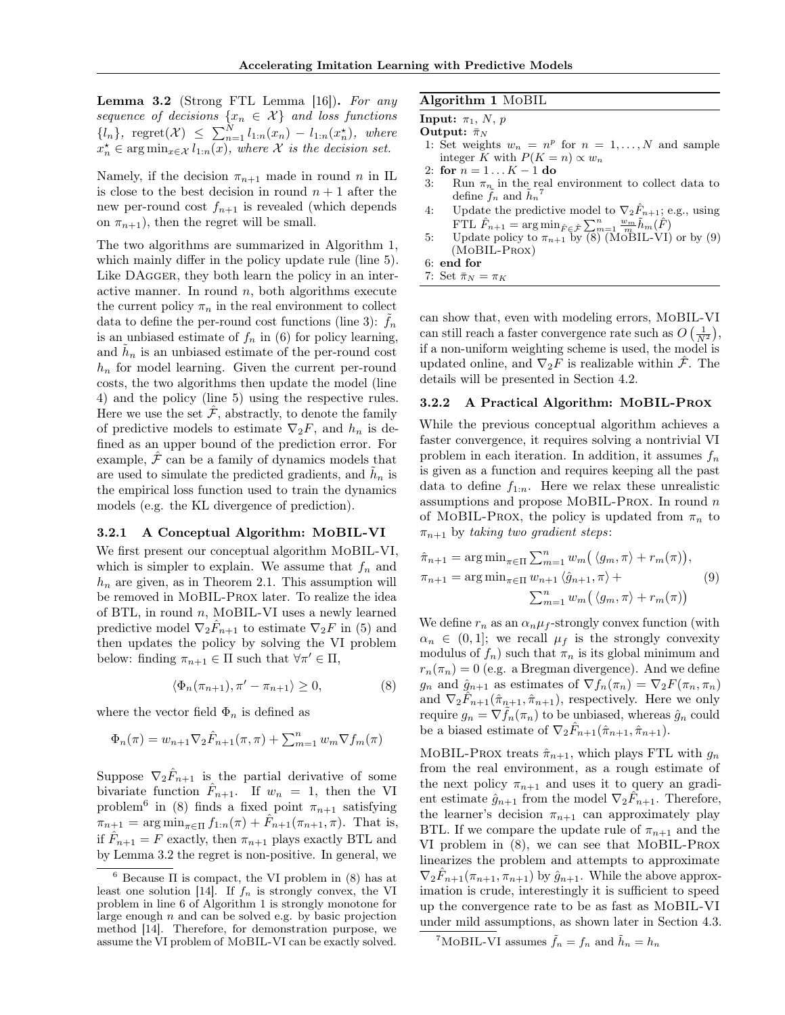<span id="page-3-0"></span>**Lemma 3.2** (Strong FTL Lemma [\[16\]](#page-8-15)). For any sequence of decisions  $\{x_n \in \mathcal{X}\}\$ and loss functions  ${l_n}, \ \ \text{regret}(\mathcal{X}) \ \leq \ \sum_{n=1}^{N} l_{1:n}(x_n) - l_{1:n}(x_n^{\star}), \ \ \text{where}$  $x_n^* \in \arg \min_{x \in \mathcal{X}} l_{1:n}(x)$ , where  $\mathcal X$  is the decision set.

Namely, if the decision  $\pi_{n+1}$  made in round n in IL is close to the best decision in round  $n + 1$  after the new per-round cost  $f_{n+1}$  is revealed (which depends on  $\pi_{n+1}$ ), then the regret will be small.

The two algorithms are summarized in Algorithm [1,](#page-3-1) which mainly differ in the policy update rule (line 5). Like DAGGER, they both learn the policy in an interactive manner. In round  $n$ , both algorithms execute the current policy  $\pi_n$  in the real environment to collect data to define the per-round cost functions (line 3):  $f_n$ is an unbiased estimate of  $f_n$  in [\(6\)](#page-1-5) for policy learning, and  $\tilde{h}_n$  is an unbiased estimate of the per-round cost  $h_n$  for model learning. Given the current per-round costs, the two algorithms then update the model (line 4) and the policy (line 5) using the respective rules. Here we use the set  $F$ , abstractly, to denote the family of predictive models to estimate  $\nabla_2 F$ , and  $h_n$  is defined as an upper bound of the prediction error. For example,  $\hat{\mathcal{F}}$  can be a family of dynamics models that are used to simulate the predicted gradients, and  $\tilde{h}_n$  is the empirical loss function used to train the dynamics models (e.g. the KL divergence of prediction).

#### 3.2.1 A Conceptual Algorithm: MoBIL-VI

We first present our conceptual algorithm MoBIL-VI, which is simpler to explain. We assume that  $f_n$  and  $h_n$  are given, as in Theorem [2.1.](#page-2-3) This assumption will be removed in MoBIL-Prox later. To realize the idea of BTL, in round  $n$ , MOBIL-VI uses a newly learned predictive model  $\nabla_2 \hat{F}_{n+1}$  to estimate  $\nabla_2 F$  in [\(5\)](#page-1-6) and then updates the policy by solving the VI problem below: finding  $\pi_{n+1} \in \Pi$  such that  $\forall \pi' \in \Pi$ ,

$$
\langle \Phi_n(\pi_{n+1}), \pi' - \pi_{n+1} \rangle \ge 0,\tag{8}
$$

where the vector field  $\Phi_n$  is defined as

$$
\Phi_n(\pi) = w_{n+1} \nabla_2 \hat{F}_{n+1}(\pi, \pi) + \sum_{m=1}^n w_m \nabla f_m(\pi)
$$

Suppose  $\nabla_2 \hat{F}_{n+1}$  is the partial derivative of some bivariate function  $\hat{F}_{n+1}$ . If  $w_n = 1$ , then the VI problem<sup>[6](#page-3-5)</sup> in [\(8\)](#page-3-3) finds a fixed point  $\pi_{n+1}$  satisfying  $\pi_{n+1} = \arg \min_{\pi \in \Pi} f_{1:n}(\pi) + \hat{F}_{n+1}(\pi_{n+1}, \pi)$ . That is, if  $\hat{F}_{n+1} = F$  exactly, then  $\pi_{n+1}$  plays exactly BTL and by Lemma [3.2](#page-3-0) the regret is non-positive. In general, we

## <span id="page-3-1"></span>Algorithm 1 MoBIL

**Input:**  $\pi_1$ , N, p

Output:  $\bar{\pi}_N$ 

- 1: Set weights  $w_n = n^p$  for  $n = 1, ..., N$  and sample integer K with  $P(K = n) \propto w_n$
- 2: for  $n = 1...K 1$  do
- 3: Run  $\pi_{n_k}$  in the real environment to collect data to define  $\tilde{f}_n$  and  $\tilde{h}_n^{\ \ 7}$  $\tilde{h}_n^{\ \ 7}$  $\tilde{h}_n^{\ \ 7}$
- 4: Update the predictive model to  $\nabla_2 \hat{F}_{n+1}$ ; e.g., using FTL  $\hat{F}_{n+1} = \arg \min_{\hat{F} \in \hat{\mathcal{F}}} \sum_{m=1}^{n} \frac{w_m}{m} \tilde{h}_m(\hat{F})$
- 5: Update policy to  $\pi_{n+1}$  by  $\overline{(8)}$  $\overline{(8)}$  $\overline{(8)}$  (MoBIL-VI) or by [\(9\)](#page-3-2) (MoBIL-Prox)
- 6: end for
- 7: Set  $\bar{\pi}_N = \pi_K$

can show that, even with modeling errors, MoBIL-VI can still reach a faster convergence rate such as  $O\left(\frac{1}{N^2}\right)$ , if a non-uniform weighting scheme is used, the model is updated online, and  $\nabla_2 F$  is realizable within  $\hat{\mathcal{F}}$ . The details will be presented in Section [4.2.](#page-5-1)

## 3.2.2 A Practical Algorithm: MoBIL-Prox

While the previous conceptual algorithm achieves a faster convergence, it requires solving a nontrivial VI problem in each iteration. In addition, it assumes  $f_n$ is given as a function and requires keeping all the past data to define  $f_{1:n}$ . Here we relax these unrealistic assumptions and propose MOBIL-PROX. In round  $n$ of MOBIL-PROX, the policy is updated from  $\pi_n$  to  $\pi_{n+1}$  by taking two gradient steps:

<span id="page-3-2"></span>
$$
\hat{\pi}_{n+1} = \arg \min_{\pi \in \Pi} \sum_{m=1}^{n} w_m \left( \langle g_m, \pi \rangle + r_m(\pi) \right),
$$
  
\n
$$
\pi_{n+1} = \arg \min_{\pi \in \Pi} w_{n+1} \langle \hat{g}_{n+1}, \pi \rangle + \sum_{m=1}^{n} w_m \left( \langle g_m, \pi \rangle + r_m(\pi) \right)
$$
\n(9)

<span id="page-3-3"></span>We define  $r_n$  as an  $\alpha_n \mu_f$ -strongly convex function (with  $\alpha_n \in (0,1]$ ; we recall  $\mu_f$  is the strongly convexity modulus of  $f_n$ ) such that  $\pi_n$  is its global minimum and  $r_n(\pi_n) = 0$  (e.g. a Bregman divergence). And we define  $g_n$  and  $\hat{g}_{n+1}$  as estimates of  $\nabla f_n(\pi_n) = \nabla_2 F(\pi_n, \pi_n)$ and  $\nabla_2 \hat{F}_{n+1}(\hat{\pi}_{n+1}, \hat{\pi}_{n+1}),$  respectively. Here we only require  $g_n = \nabla f_n(\pi_n)$  to be unbiased, whereas  $\hat{g}_n$  could be a biased estimate of  $\nabla_2 \hat{F}_{n+1}(\hat{\pi}_{n+1}, \hat{\pi}_{n+1}).$ 

MOBIL-PROX treats  $\hat{\pi}_{n+1}$ , which plays FTL with  $g_n$ from the real environment, as a rough estimate of the next policy  $\pi_{n+1}$  and uses it to query an gradient estimate  $\hat{g}_{n+1}$  from the model  $\nabla_2 \hat{F}_{n+1}$ . Therefore, the learner's decision  $\pi_{n+1}$  can approximately play BTL. If we compare the update rule of  $\pi_{n+1}$  and the VI problem in [\(8\)](#page-3-3), we can see that MoBIL-Prox linearizes the problem and attempts to approximate  $\nabla_2 \hat{F}_{n+1}(\pi_{n+1}, \pi_{n+1})$  by  $\hat{g}_{n+1}$ . While the above approximation is crude, interestingly it is sufficient to speed up the convergence rate to be as fast as MoBIL-VI under mild assumptions, as shown later in Section [4.3.](#page-5-2)

<span id="page-3-5"></span> $^6$  Because  $\Pi$  is compact, the VI problem in [\(8\)](#page-3-3) has at least one solution [\[14\]](#page-8-14). If  $f_n$  is strongly convex, the VI problem in line 6 of Algorithm [1](#page-3-1) is strongly monotone for large enough  $n$  and can be solved e.g. by basic projection method [\[14\]](#page-8-14). Therefore, for demonstration purpose, we assume the VI problem of MoBIL-VI can be exactly solved.

<span id="page-3-4"></span><sup>&</sup>lt;sup>7</sup>MoBIL-VI assumes  $\tilde{f}_n = f_n$  and  $\tilde{h}_n = h_n$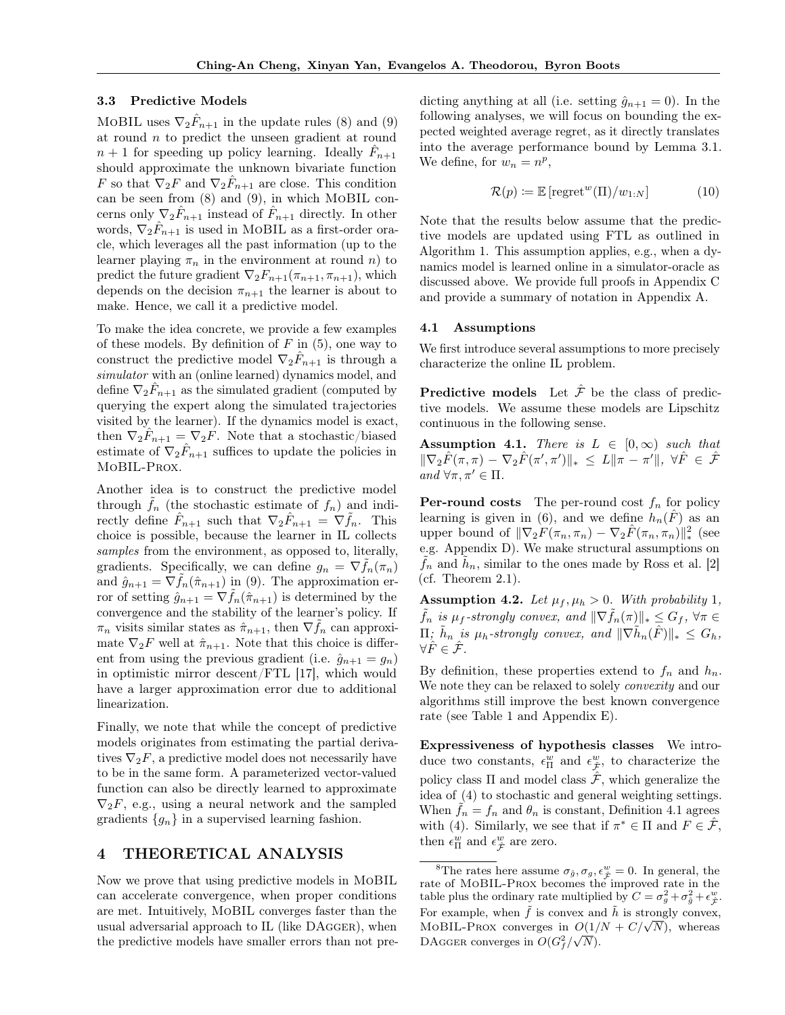#### <span id="page-4-0"></span>3.3 Predictive Models

MOBIL uses  $\nabla_2 \hat{F}_{n+1}$  in the update rules [\(8\)](#page-3-3) and [\(9\)](#page-3-2) at round  $n$  to predict the unseen gradient at round  $n+1$  for speeding up policy learning. Ideally  $\hat{F}_{n+1}$ should approximate the unknown bivariate function F so that  $\nabla_2 F$  and  $\nabla_2 \hat{F}_{n+1}$  are close. This condition can be seen from [\(8\)](#page-3-3) and [\(9\)](#page-3-2), in which MoBIL concerns only  $\nabla_2 \hat{F}_{n+1}$  instead of  $\hat{F}_{n+1}$  directly. In other words,  $\nabla_2 \hat{F}_{n+1}$  is used in MOBIL as a first-order oracle, which leverages all the past information (up to the learner playing  $\pi_n$  in the environment at round n) to predict the future gradient  $\nabla_2 F_{n+1}(\pi_{n+1}, \pi_{n+1}),$  which depends on the decision  $\pi_{n+1}$  the learner is about to make. Hence, we call it a predictive model.

To make the idea concrete, we provide a few examples of these models. By definition of  $F$  in  $(5)$ , one way to construct the predictive model  $\nabla_2 \hat{F}_{n+1}$  is through a simulator with an (online learned) dynamics model, and define  $\nabla_2 \hat{F}_{n+1}$  as the simulated gradient (computed by querying the expert along the simulated trajectories visited by the learner). If the dynamics model is exact, then  $\nabla_2 \hat{F}_{n+1} = \nabla_2 F$ . Note that a stochastic/biased estimate of  $\nabla_2 \hat{F}_{n+1}$  suffices to update the policies in MoBIL-Prox.

Another idea is to construct the predictive model through  $f_n$  (the stochastic estimate of  $f_n$ ) and indirectly define  $\hat{F}_{n+1}$  such that  $\nabla_2 \hat{F}_{n+1} = \nabla \tilde{f}_n$ . This choice is possible, because the learner in IL collects samples from the environment, as opposed to, literally, gradients. Specifically, we can define  $g_n = \nabla f_n(\pi_n)$ and  $\hat{g}_{n+1} = \nabla f_n(\hat{\pi}_{n+1})$  in [\(9\)](#page-3-2). The approximation error of setting  $\hat{g}_{n+1} = \nabla \hat{f}_n(\hat{\pi}_{n+1})$  is determined by the convergence and the stability of the learner's policy. If  $\pi_n$  visits similar states as  $\hat{\pi}_{n+1}$ , then  $\nabla \tilde{f}_n$  can approximate  $\nabla_2 F$  well at  $\hat{\pi}_{n+1}$ . Note that this choice is different from using the previous gradient (i.e.  $\hat{g}_{n+1} = g_n$ ) in optimistic mirror descent/FTL [\[17\]](#page-8-16), which would have a larger approximation error due to additional linearization.

Finally, we note that while the concept of predictive models originates from estimating the partial derivatives  $\nabla_2 F$ , a predictive model does not necessarily have to be in the same form. A parameterized vector-valued function can also be directly learned to approximate  $\nabla_2 F$ , e.g., using a neural network and the sampled gradients  ${g_n}$  in a supervised learning fashion.

## 4 THEORETICAL ANALYSIS

Now we prove that using predictive models in MoBIL can accelerate convergence, when proper conditions are met. Intuitively, MoBIL converges faster than the usual adversarial approach to IL (like DAgger), when the predictive models have smaller errors than not predicting anything at all (i.e. setting  $\hat{g}_{n+1} = 0$ ). In the following analyses, we will focus on bounding the expected weighted average regret, as it directly translates into the average performance bound by Lemma [3.1.](#page-2-1) We define, for  $w_n = n^p$ ,

$$
\mathcal{R}(p) \coloneqq \mathbb{E}\left[\text{regret}^w(\Pi)/w_{1:N}\right] \tag{10}
$$

Note that the results below assume that the predictive models are updated using FTL as outlined in Algorithm [1.](#page-3-1) This assumption applies, e.g., when a dynamics model is learned online in a simulator-oracle as discussed above. We provide full proofs in Appendix C and provide a summary of notation in Appendix A.

#### 4.1 Assumptions

We first introduce several assumptions to more precisely characterize the online IL problem.

**Predictive models** Let  $\hat{\mathcal{F}}$  be the class of predictive models. We assume these models are Lipschitz continuous in the following sense.

<span id="page-4-2"></span>Assumption 4.1. There is  $L \in [0,\infty)$  such that  $\|\nabla_2 \hat{F}(\pi, \pi) - \nabla_2 \hat{F}(\pi', \pi')\|_{*} \le L \|\pi - \pi'\|, \ \forall \hat{F} \in \hat{\mathcal{F}}$ and  $\forall \pi, \pi' \in \Pi$ .

**Per-round costs** The per-round cost  $f_n$  for policy learning is given in [\(6\)](#page-1-5), and we define  $h_n(F)$  as an upper bound of  $\|\nabla_2 F(\pi_n, \pi_n) - \nabla_2 \hat{F}(\pi_n, \pi_n)\|_*^2$  (see e.g. Appendix D). We make structural assumptions on  $\tilde{f}_n$  and  $\tilde{h}_n$ , similar to the ones made by Ross et al. [\[2\]](#page-8-2) (cf. Theorem [2.1\)](#page-2-3).

Assumption 4.2. Let  $\mu_f, \mu_h > 0$ . With probability 1,  $\tilde{f}_n$  is  $\mu_f$ -strongly convex, and  $\|\nabla \tilde{f}_n(\pi)\|_* \leq G_f$ ,  $\forall \pi \in$  $\Pi$ ;  $\tilde{h}_n$  is  $\mu_h$ -strongly convex, and  $\|\nabla \tilde{h}_n(\hat{F})\|_* \leq G_h$ ,  $\forall \hat{F} \in \hat{\mathcal{F}}.$ 

By definition, these properties extend to  $f_n$  and  $h_n$ . We note they can be relaxed to solely *convexity* and our algorithms still improve the best known convergence rate (see Table [1](#page-5-3) and Appendix E).

Expressiveness of hypothesis classes We introduce two constants,  $\epsilon_{\Pi}^{w}$  and  $\epsilon_{\hat{\mathcal{F}}}^{w}$ , to characterize the policy class  $\Pi$  and model class  $\mathcal{F}$ , which generalize the idea of [\(4\)](#page-1-4) to stochastic and general weighting settings. When  $f_n = f_n$  and  $\theta_n$  is constant, Definition [4.1](#page-5-0) agrees with [\(4\)](#page-1-4). Similarly, we see that if  $\pi^* \in \Pi$  and  $F \in \hat{\mathcal{F}}$ , then  $\epsilon_{\Pi}^{w}$  and  $\epsilon_{\hat{\mathcal{F}}}^{w}$  are zero.

<span id="page-4-1"></span><sup>&</sup>lt;sup>8</sup>The rates here assume  $\sigma_{\hat{g}}, \sigma_g, \epsilon_g^w = 0$ . In general, the rate of MoBIL-Prox becomes the improved rate in the table plus the ordinary rate multiplied by  $C = \sigma_g^2 + \sigma_{\hat{g}}^2 + \epsilon_{\hat{\mathcal{F}}}^w$ . For example, when  $\tilde{f}$  is convex and  $\tilde{h}$  is strongly convex, For example, when *J* is convex and *h* is strongly convex.<br>MOBIL-PROX converges in  $O(1/N + C/\sqrt{N})$ , whereas DAGGER converges in  $O(G_f^2/\sqrt{N}).$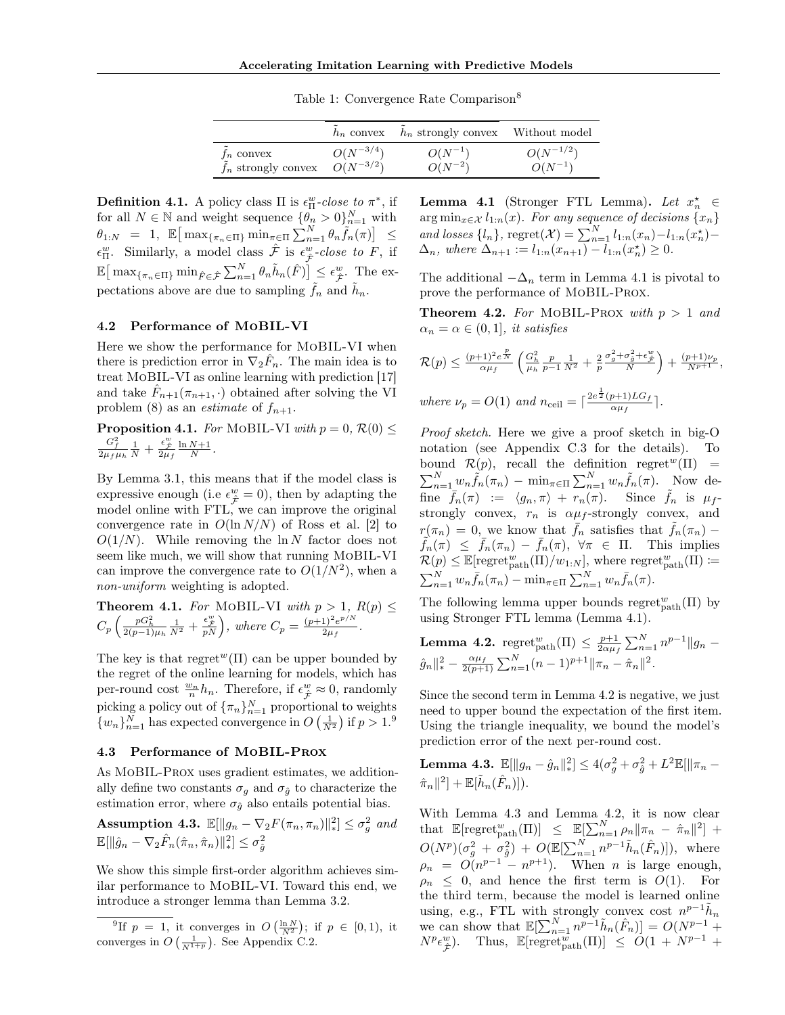Table 1: Convergence Rate Comparison<sup>[8](#page-4-1)</sup>

|                                     |               | $h_n$ convex $h_n$ strongly convex Without model |               |
|-------------------------------------|---------------|--------------------------------------------------|---------------|
| $f_n$ convex                        | $O(N^{-3/4})$ | $O(N^{-1})$                                      | $O(N^{-1/2})$ |
| $f_n$ strongly convex $O(N^{-3/2})$ |               | $O(N^{-2})$                                      | $O(N^{-1})$   |

<span id="page-5-3"></span><span id="page-5-0"></span>**Definition 4.1.** A policy class  $\Pi$  is  $\epsilon_{\Pi}^{w}$ -close to  $\pi^{*}$ , if for all  $N \in \mathbb{N}$  and weight sequence  $\{\theta_n > 0\}_{n=1}^N$  with  $\theta_{1:N}$  = 1,  $\mathbb{E} \left[ \max_{\{ \pi_n \in \Pi \}} \min_{\pi \in \Pi} \sum_{n=1}^N \theta_n \tilde{f}_n(\pi) \right] \leq$  $\epsilon_{\Pi}^{w}$ . Similarly, a model class  $\hat{\mathcal{F}}$  is  $\epsilon_{\hat{\mathcal{F}}}^{w}$ -close to F, if  $\mathbb{E} \big[ \max_{\{\pi_n \in \Pi\}} \min_{\hat{F} \in \hat{\mathcal{F}}} \sum_{n=1}^N \theta_n \tilde{h}_n(\hat{F}) \big] \leq \epsilon_{\hat{\mathcal{F}}}^w$ . The expectations above are due to sampling  $\tilde{f}_n$  and  $\tilde{h}_n$ .

#### <span id="page-5-1"></span>4.2 Performance of MoBIL-VI

Here we show the performance for MoBIL-VI when there is prediction error in  $\nabla_2 \hat{F}_n$ . The main idea is to treat MoBIL-VI as online learning with prediction [\[17\]](#page-8-16) and take  $\hat{F}_{n+1}(\pi_{n+1}, \cdot)$  obtained after solving the VI problem [\(8\)](#page-3-3) as an *estimate* of  $f_{n+1}$ .

<span id="page-5-10"></span>**Proposition 4.1.** For MOBIL-VI with  $p = 0$ ,  $\mathcal{R}(0) \leq$  $\frac{G_f^2}{2\mu_f\mu_h}\frac{1}{N}+\frac{\epsilon_{\hat{\cal F}}^w}{2\mu_f}\frac{\ln N{+}1}{N}.$ 

By Lemma [3.1,](#page-2-1) this means that if the model class is expressive enough (i.e  $\epsilon_{\hat{\mathcal{F}}}^w = 0$ ), then by adapting the model online with FTL, we can improve the original convergence rate in  $O(\ln N/N)$  of Ross et al. [\[2\]](#page-8-2) to  $O(1/N)$ . While removing the ln N factor does not seem like much, we will show that running MoBIL-VI can improve the convergence rate to  $O(1/N^2)$ , when a non-uniform weighting is adopted.

<span id="page-5-9"></span>**Theorem 4.1.** For MOBIL-VI with 
$$
p > 1
$$
,  $R(p) \leq$   

$$
C_p \left( \frac{pG_h^2}{2(p-1)\mu_h} \frac{1}{N^2} + \frac{\epsilon_F^w}{pN} \right), \text{ where } C_p = \frac{(p+1)^2 e^{p/N}}{2\mu_f}.
$$

The key is that regret  $(\Pi)$  can be upper bounded by the regret of the online learning for models, which has per-round cost  $\frac{w_n}{n}h_n$ . Therefore, if  $\epsilon_{\hat{\mathcal{F}}}^w \approx 0$ , randomly picking a policy out of  $\{\pi_n\}_{n=1}^N$  proportional to weights  $\{w_n\}_{n=1}^N$  has expected convergence in  $O\left(\frac{1}{N^2}\right)$  if  $p > 1.9$  $p > 1.9$ 

### <span id="page-5-2"></span>4.3 Performance of MoBIL-Prox

As MoBIL-Prox uses gradient estimates, we additionally define two constants  $\sigma_g$  and  $\sigma_{\hat{g}}$  to characterize the estimation error, where  $\sigma_{\hat{q}}$  also entails potential bias.

Assumption 4.3.  $\mathbb{E}[\Vert g_n - \nabla_2 F(\pi_n, \pi_n) \Vert^2_*] \leq \sigma_g^2$  and  $\mathbb{E}[\|\hat{g}_n - \nabla_2 \hat{F}_n(\hat{\pi}_n, \hat{\pi}_n)\|_*^2] \leq \sigma_{\hat{g}}^2$ 

We show this simple first-order algorithm achieves similar performance to MoBIL-VI. Toward this end, we introduce a stronger lemma than Lemma [3.2.](#page-3-0)

<span id="page-5-6"></span><sup>9</sup>If  $p = 1$ , it converges in  $O\left(\frac{\ln N}{N^2}\right)$ ; if  $p \in [0, 1)$ , it converges in  $O\left(\frac{1}{N^{1+p}}\right)$ . See Appendix C.2.

<span id="page-5-5"></span>**Lemma 4.1** (Stronger FTL Lemma). Let  $x_n^* \in$  $\arg \min_{x \in \mathcal{X}} l_{1:n}(x)$ . For any sequence of decisions  $\{x_n\}$ and losses  $\{l_n\}$ , regret $(\mathcal{X}) = \sum_{n=1}^{N} l_{1:n}(x_n) - l_{1:n}(x_n^*) \Delta_n$ , where  $\Delta_{n+1} := l_{1:n}(x_{n+1}) - \bar{l}_{1:n}(x_n^{\star}) \geq 0.$ 

The additional  $-\Delta_n$  term in Lemma [4.1](#page-5-5) is pivotal to prove the performance of MoBIL-Prox.

<span id="page-5-8"></span>**Theorem 4.2.** For MOBIL-PROX with  $p > 1$  and  $\alpha_n = \alpha \in (0,1]$ , it satisfies

$$
\mathcal{R}(p) \le \frac{(p+1)^2 e^{\frac{p}{N}}}{\alpha \mu_f} \left( \frac{G_h^2}{\mu_h} \frac{p}{p-1} \frac{1}{N^2} + \frac{2}{p} \frac{\sigma_g^2 + \sigma_g^2 + \epsilon_{\frac{\mu}{2}}^w}{N} \right) + \frac{(p+1)\nu_p}{N^{p+1}},
$$
  
where  $\nu_p = O(1)$  and  $n_{\text{ceil}} = \left\lceil \frac{2e^{\frac{1}{2}}(p+1)LG_f}{\alpha \mu_f} \right\rceil$ .

Proof sketch. Here we give a proof sketch in big-O notation (see Appendix C.3 for the details). To bound  $\mathcal{R}(p)$ , recall the definition regret<sup>w</sup>(Π) =  $\sum_{n=1}^{N} w_n \tilde{f}_n(\pi_n) - \min_{\pi \in \Pi} \sum_{n=1}^{N} w_n \tilde{f}_n(\pi)$ . Now define  $\bar{f}_n(\pi) := \langle g_n, \pi \rangle + r_n(\pi)$ . Since  $f_n$  is  $\mu_f$ strongly convex,  $r_n$  is  $\alpha \mu_f$ -strongly convex, and  $r(\pi_n) = 0$ , we know that  $\bar{f}_n$  satisfies that  $\tilde{f}_n(\pi_n)$  –  $\bar{f}_n(\pi) \leq \bar{f}_n(\pi_n) - \bar{f}_n(\pi), \forall \pi \in \Pi$ . This implies  $\mathcal{R}(p) \leq \mathbb{E}[\mathrm{regret}_{\mathrm{path}}^w(\Pi)/w_{1:N}],$  where  $\mathrm{regret}_{\mathrm{path}}^w(\Pi) \coloneqq$  $\sum_{n=1}^{N} w_n \bar{f}_n(\pi_n) - \min_{\pi \in \Pi} \sum_{n=1}^{N} w_n \bar{f}_n(\pi).$ 

The following lemma upper bounds  $\operatorname{regret}^w_{\text{path}}(\Pi)$  by using Stronger FTL lemma (Lemma [4.1\)](#page-5-5).

<span id="page-5-7"></span>**Lemma 4.2.** regret<sup>w</sup><sub>path</sub>(II) 
$$
\leq \frac{p+1}{2\alpha\mu_f} \sum_{n=1}^{N} n^{p-1} ||g_n - \hat{g}_n||_*^2 - \frac{\alpha\mu_f}{2(p+1)} \sum_{n=1}^{N} (n-1)^{p+1} ||\pi_n - \hat{\pi}_n||^2
$$
.

Since the second term in Lemma [4.2](#page-5-7) is negative, we just need to upper bound the expectation of the first item. Using the triangle inequality, we bound the model's prediction error of the next per-round cost.

<span id="page-5-4"></span>Lemma 4.3.  $\mathbb{E}[\Vert g_n - \hat{g}_n \Vert_*^2] \leq 4(\sigma_g^2 + \sigma_{\hat{g}}^2 + L^2 \mathbb{E}[\Vert \pi_n \hat{\pi}_n \|^{2} + \mathbb{E}[\tilde{h}_n(\hat{F}_n)]).$ 

With Lemma [4.3](#page-5-4) and Lemma [4.2,](#page-5-7) it is now clear that  $\mathbb{E}[\text{regret}_{\text{path}}^w(\Pi)] \leq \mathbb{E}[\sum_{n=1}^N \rho_n || \pi_n - \hat{\pi}_n ||^2] +$  $O(N^{p})(\sigma_{g}^{2} + \sigma_{\hat{g}}^{2}) + O(\mathbb{E}[\sum_{n=1}^{N} n^{p-1} \tilde{h}_{n}(\hat{F}_{n})]),$  where  $\rho_n = O(n^{p-1} - n^{p+1})$ . When *n* is large enough,  $\rho_n \leq 0$ , and hence the first term is  $O(1)$ . For the third term, because the model is learned online using, e.g., FTL with strongly convex cost  $n^{p-1}$  $\tilde{h}_n$ we can show that  $\mathbb{E}[\sum_{n=1}^{N} n^{p-1} \tilde{h}_n(\hat{F}_n)] = O(N^{p-1} +$  $N^p \epsilon_{\hat{\mathcal{F}}}^w$ ). Thus,  $\mathbb{E}[\text{regret}_{\text{path}}^w(\Pi)] \leq O(1 + N^{p-1} +$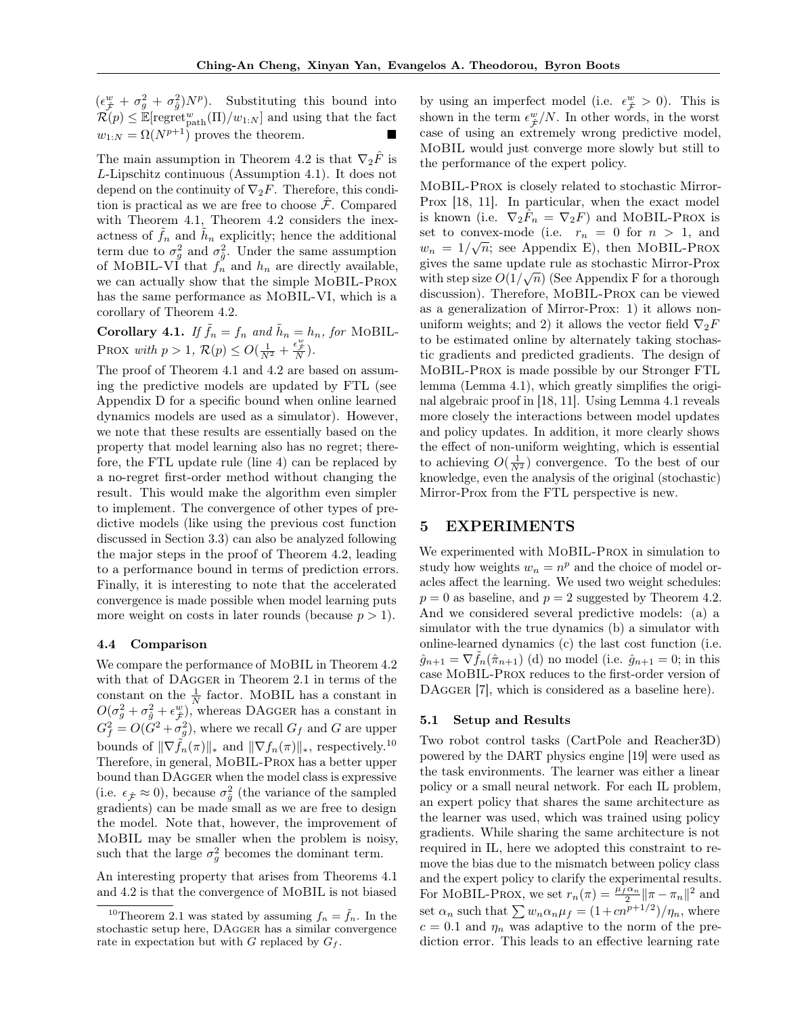$(\epsilon_{\hat{\mathcal{F}}}^w + \sigma_g^2 + \sigma_{\hat{g}}^2)N^p$ ). Substituting this bound into  $\mathcal{R}(p) \leq \mathbb{E}[\text{regret}_{\text{path}}^w(\Pi)/w_{1:N}]$  and using that the fact  $w_{1:N} = \Omega(N^{p+1})$  proves the theorem.

The main assumption in Theorem [4.2](#page-5-8) is that  $\nabla_2 \tilde{F}$  is L-Lipschitz continuous (Assumption [4.1\)](#page-4-2). It does not depend on the continuity of  $\nabla_2 F$ . Therefore, this condition is practical as we are free to choose  $\mathcal{F}$ . Compared with Theorem [4.1,](#page-5-9) Theorem [4.2](#page-5-8) considers the inexactness of  $\tilde{f}_n$  and  $\tilde{h}_n$  explicitly; hence the additional term due to  $\sigma_g^2$  and  $\sigma_{\hat{g}}^2$ . Under the same assumption of MOBIL-VI that  $f_n^{\prime}$  and  $h_n$  are directly available, we can actually show that the simple MoBIL-Prox has the same performance as MoBIL-VI, which is a corollary of Theorem [4.2.](#page-5-8)

**Corollary 4.1.** If  $\tilde{f}_n = f_n$  and  $\tilde{h}_n = h_n$ , for MOBIL-PROX with  $p > 1$ ,  $\mathcal{R}(p) \le O\left(\frac{1}{N^2} + \frac{\epsilon_{\varphi}^w}{N}\right)$ .

The proof of Theorem [4.1](#page-5-9) and [4.2](#page-5-8) are based on assuming the predictive models are updated by FTL (see Appendix D for a specific bound when online learned dynamics models are used as a simulator). However, we note that these results are essentially based on the property that model learning also has no regret; therefore, the FTL update rule (line 4) can be replaced by a no-regret first-order method without changing the result. This would make the algorithm even simpler to implement. The convergence of other types of predictive models (like using the previous cost function discussed in Section [3.3\)](#page-4-0) can also be analyzed following the major steps in the proof of Theorem [4.2,](#page-5-8) leading to a performance bound in terms of prediction errors. Finally, it is interesting to note that the accelerated convergence is made possible when model learning puts more weight on costs in later rounds (because  $p > 1$ ).

#### 4.4 Comparison

We compare the performance of MoBIL in Theorem [4.2](#page-5-8) with that of DAGGER in Theorem [2.1](#page-2-3) in terms of the constant on the  $\frac{1}{N}$  factor. MoBIL has a constant in  $O(\sigma_g^2 + \sigma_{\hat{g}}^2 + \epsilon_{\hat{\mathcal{F}}}^w)$ , whereas DAGGER has a constant in  $G_f^2 = O(G^2 + \sigma_g^2)$ , where we recall  $G_f$  and G are upper bounds of  $\|\nabla \tilde{f}_n(\pi)\|_*$  and  $\|\nabla f_n(\pi)\|_*$ , respectively.<sup>[10](#page-6-0)</sup> Therefore, in general, MoBIL-Prox has a better upper bound than DAgger when the model class is expressive (i.e.  $\epsilon_{\hat{\mathcal{F}}} \approx 0$ ), because  $\sigma_{\hat{g}}^2$  (the variance of the sampled gradients) can be made small as we are free to design the model. Note that, however, the improvement of MoBIL may be smaller when the problem is noisy, such that the large  $\sigma_g^2$  becomes the dominant term.

An interesting property that arises from Theorems [4.1](#page-5-9) and [4.2](#page-5-8) is that the convergence of MoBIL is not biased

by using an imperfect model (i.e.  $\epsilon_{\hat{\mathcal{F}}}^w > 0$ ). This is shown in the term  $\epsilon_{\hat{\mathcal{F}}}^w/N$ . In other words, in the worst case of using an extremely wrong predictive model, MoBIL would just converge more slowly but still to the performance of the expert policy.

MoBIL-Prox is closely related to stochastic Mirror-Prox [\[18,](#page-8-17) [11\]](#page-8-6). In particular, when the exact model is known (i.e.  $\nabla_2 \hat{F}_n = \nabla_2 F$ ) and MOBIL-PROX is set to convex-mode (i.e.  $r_n = 0$  for  $n > 1$ , and  $w_n = 1/\sqrt{n}$ ; see Appendix E), then MOBIL-PROX gives the same update rule as stochastic Mirror-Prox with step size  $O(1/\sqrt{n})$  (See Appendix F for a thorough discussion). Therefore, MoBIL-Prox can be viewed as a generalization of Mirror-Prox: 1) it allows nonuniform weights; and 2) it allows the vector field  $\nabla_2 F$ to be estimated online by alternately taking stochastic gradients and predicted gradients. The design of MoBIL-Prox is made possible by our Stronger FTL lemma (Lemma [4.1\)](#page-5-5), which greatly simplifies the original algebraic proof in [\[18,](#page-8-17) [11\]](#page-8-6). Using Lemma [4.1](#page-5-5) reveals more closely the interactions between model updates and policy updates. In addition, it more clearly shows the effect of non-uniform weighting, which is essential to achieving  $O(\frac{1}{N^2})$  convergence. To the best of our knowledge, even the analysis of the original (stochastic) Mirror-Prox from the FTL perspective is new.

## 5 EXPERIMENTS

We experimented with MoBIL-Prox in simulation to study how weights  $w_n = n^p$  and the choice of model oracles affect the learning. We used two weight schedules:  $p = 0$  as baseline, and  $p = 2$  suggested by Theorem [4.2.](#page-5-8) And we considered several predictive models: (a) a simulator with the true dynamics (b) a simulator with online-learned dynamics (c) the last cost function (i.e.  $\hat{g}_{n+1} = \nabla f_n(\hat{\pi}_{n+1})$  (d) no model (i.e.  $\hat{g}_{n+1} = 0$ ; in this case MoBIL-Prox reduces to the first-order version of DAGGER [\[7\]](#page-8-3), which is considered as a baseline here).

### 5.1 Setup and Results

Two robot control tasks (CartPole and Reacher3D) powered by the DART physics engine [\[19\]](#page-8-18) were used as the task environments. The learner was either a linear policy or a small neural network. For each IL problem, an expert policy that shares the same architecture as the learner was used, which was trained using policy gradients. While sharing the same architecture is not required in IL, here we adopted this constraint to remove the bias due to the mismatch between policy class and the expert policy to clarify the experimental results. For MOBIL-PROX, we set  $r_n(\pi) = \frac{\mu_f \alpha_n}{2} ||\pi - \pi_n||^2$  and set  $\alpha_n$  such that  $\sum w_n \alpha_n \mu_f = (1 + cn^{p+1/2})/\eta_n$ , where  $c = 0.1$  and  $\eta_n$  was adaptive to the norm of the prediction error. This leads to an effective learning rate

<span id="page-6-0"></span><sup>&</sup>lt;sup>10</sup>Theorem [2.1](#page-2-3) was stated by assuming  $f_n = \tilde{f}_n$ . In the stochastic setup here, DAgger has a similar convergence rate in expectation but with G replaced by  $G_f$ .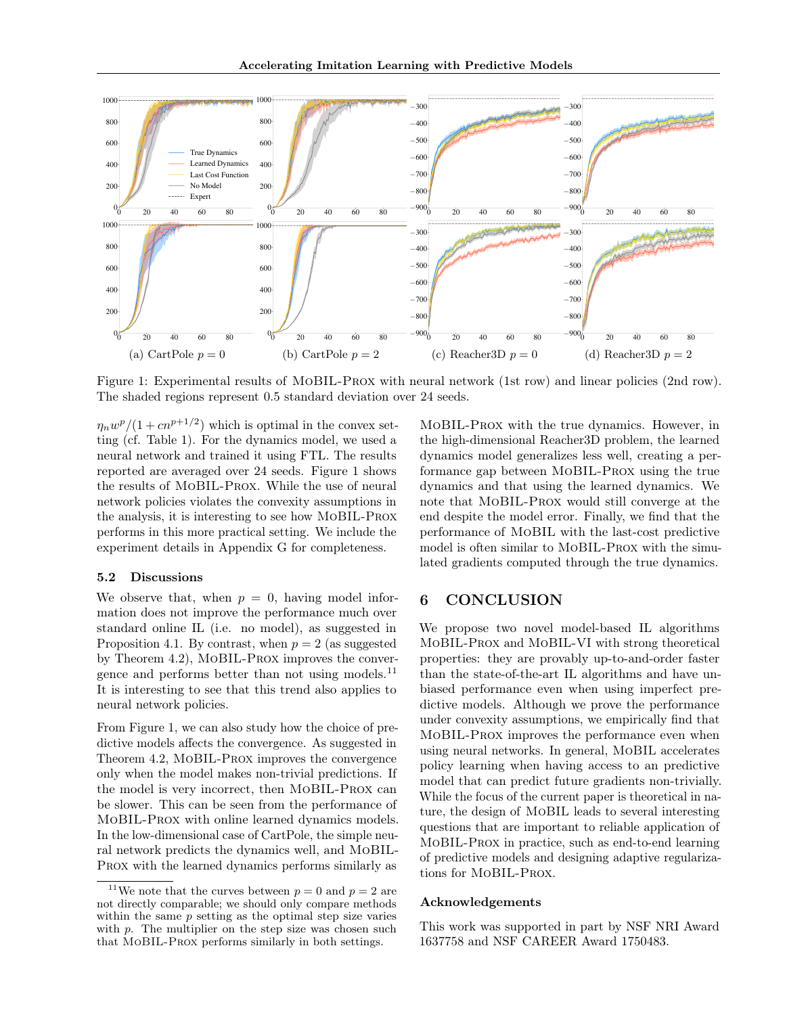<span id="page-7-0"></span>

Figure 1: Experimental results of MoBIL-Prox with neural network (1st row) and linear policies (2nd row). The shaded regions represent 0.5 standard deviation over 24 seeds.

 $\eta_n w^p/(1+cn^{p+1/2})$  which is optimal in the convex setting (cf. Table [1\)](#page-5-3). For the dynamics model, we used a neural network and trained it using FTL. The results reported are averaged over 24 seeds. Figure [1](#page-7-0) shows the results of MoBIL-Prox. While the use of neural network policies violates the convexity assumptions in the analysis, it is interesting to see how MoBIL-Prox performs in this more practical setting. We include the experiment details in Appendix G for completeness.

#### 5.2 Discussions

We observe that, when  $p = 0$ , having model information does not improve the performance much over standard online IL (i.e. no model), as suggested in Proposition [4.1.](#page-5-10) By contrast, when  $p = 2$  (as suggested by Theorem [4.2\)](#page-5-8), MoBIL-Prox improves the conver-gence and performs better than not using models.<sup>[11](#page-7-1)</sup> It is interesting to see that this trend also applies to neural network policies.

From Figure [1,](#page-7-0) we can also study how the choice of predictive models affects the convergence. As suggested in Theorem [4.2,](#page-5-8) MoBIL-Prox improves the convergence only when the model makes non-trivial predictions. If the model is very incorrect, then MoBIL-Prox can be slower. This can be seen from the performance of MoBIL-Prox with online learned dynamics models. In the low-dimensional case of CartPole, the simple neural network predicts the dynamics well, and MoBIL-Prox with the learned dynamics performs similarly as

MoBIL-Prox with the true dynamics. However, in the high-dimensional Reacher3D problem, the learned dynamics model generalizes less well, creating a performance gap between MoBIL-Prox using the true dynamics and that using the learned dynamics. We note that MoBIL-Prox would still converge at the end despite the model error. Finally, we find that the performance of MoBIL with the last-cost predictive model is often similar to MoBIL-Prox with the simulated gradients computed through the true dynamics.

## 6 CONCLUSION

We propose two novel model-based IL algorithms MoBIL-Prox and MoBIL-VI with strong theoretical properties: they are provably up-to-and-order faster than the state-of-the-art IL algorithms and have unbiased performance even when using imperfect predictive models. Although we prove the performance under convexity assumptions, we empirically find that MoBIL-Prox improves the performance even when using neural networks. In general, MoBIL accelerates policy learning when having access to an predictive model that can predict future gradients non-trivially. While the focus of the current paper is theoretical in nature, the design of MoBIL leads to several interesting questions that are important to reliable application of MoBIL-Prox in practice, such as end-to-end learning of predictive models and designing adaptive regularizations for MoBIL-Prox.

#### Acknowledgements

This work was supported in part by NSF NRI Award 1637758 and NSF CAREER Award 1750483.

<span id="page-7-1"></span><sup>&</sup>lt;sup>11</sup>We note that the curves between  $p = 0$  and  $p = 2$  are not directly comparable; we should only compare methods within the same  $p$  setting as the optimal step size varies with  $p$ . The multiplier on the step size was chosen such that MoBIL-Prox performs similarly in both settings.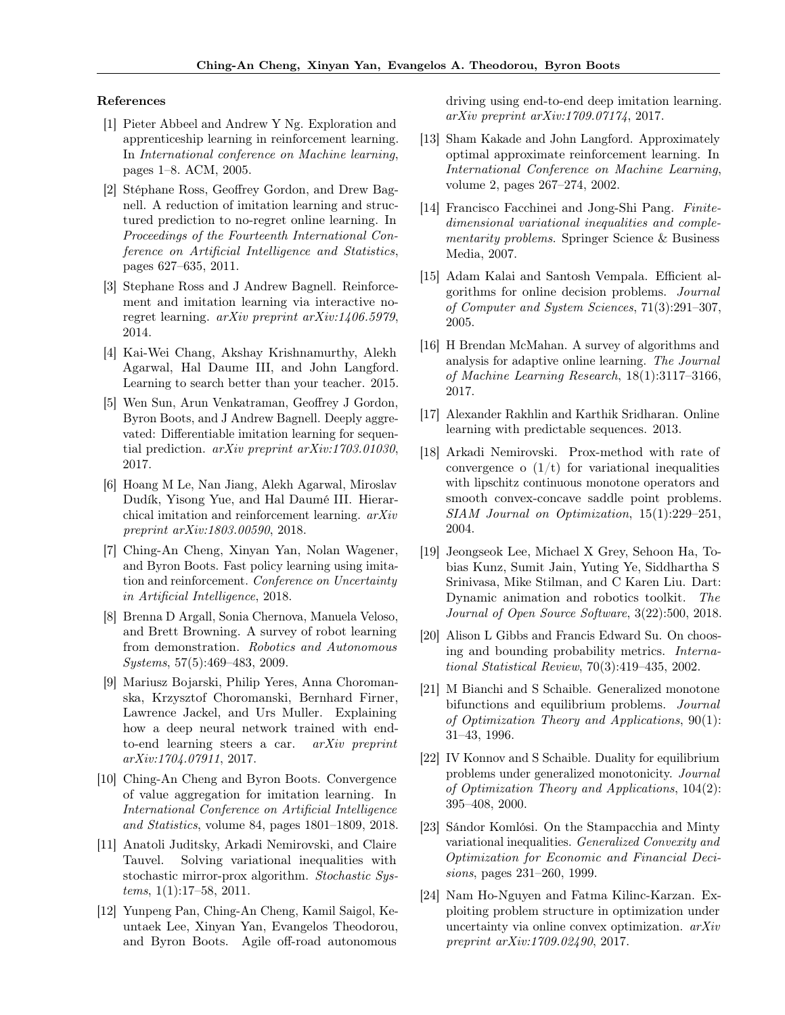#### References

- <span id="page-8-5"></span>[1] Pieter Abbeel and Andrew Y Ng. Exploration and apprenticeship learning in reinforcement learning. In International conference on Machine learning, pages 1–8. ACM, 2005.
- <span id="page-8-2"></span>[2] Stéphane Ross, Geoffrey Gordon, and Drew Bagnell. A reduction of imitation learning and structured prediction to no-regret online learning. In Proceedings of the Fourteenth International Conference on Artificial Intelligence and Statistics, pages 627–635, 2011.
- <span id="page-8-4"></span>[3] Stephane Ross and J Andrew Bagnell. Reinforcement and imitation learning via interactive noregret learning.  $arXiv$  preprint  $arXiv:1406.5979$ , 2014.
- <span id="page-8-0"></span>[4] Kai-Wei Chang, Akshay Krishnamurthy, Alekh Agarwal, Hal Daume III, and John Langford. Learning to search better than your teacher. 2015.
- <span id="page-8-9"></span>[5] Wen Sun, Arun Venkatraman, Geoffrey J Gordon, Byron Boots, and J Andrew Bagnell. Deeply aggrevated: Differentiable imitation learning for sequential prediction. arXiv preprint arXiv:1703.01030, 2017.
- <span id="page-8-8"></span>[6] Hoang M Le, Nan Jiang, Alekh Agarwal, Miroslav Dudík, Yisong Yue, and Hal Daumé III. Hierarchical imitation and reinforcement learning. arXiv preprint arXiv:1803.00590, 2018.
- <span id="page-8-3"></span>[7] Ching-An Cheng, Xinyan Yan, Nolan Wagener, and Byron Boots. Fast policy learning using imitation and reinforcement. Conference on Uncertainty in Artificial Intelligence, 2018.
- <span id="page-8-1"></span>[8] Brenna D Argall, Sonia Chernova, Manuela Veloso, and Brett Browning. A survey of robot learning from demonstration. Robotics and Autonomous Systems, 57(5):469–483, 2009.
- <span id="page-8-10"></span>[9] Mariusz Bojarski, Philip Yeres, Anna Choromanska, Krzysztof Choromanski, Bernhard Firner, Lawrence Jackel, and Urs Muller. Explaining how a deep neural network trained with endto-end learning steers a car. arXiv preprint arXiv:1704.07911, 2017.
- <span id="page-8-7"></span>[10] Ching-An Cheng and Byron Boots. Convergence of value aggregation for imitation learning. In International Conference on Artificial Intelligence and Statistics, volume 84, pages 1801–1809, 2018.
- <span id="page-8-6"></span>[11] Anatoli Juditsky, Arkadi Nemirovski, and Claire Tauvel. Solving variational inequalities with stochastic mirror-prox algorithm. Stochastic Systems, 1(1):17–58, 2011.
- <span id="page-8-11"></span>[12] Yunpeng Pan, Ching-An Cheng, Kamil Saigol, Keuntaek Lee, Xinyan Yan, Evangelos Theodorou, and Byron Boots. Agile off-road autonomous

driving using end-to-end deep imitation learning. arXiv preprint arXiv:1709.07174, 2017.

- <span id="page-8-12"></span>[13] Sham Kakade and John Langford. Approximately optimal approximate reinforcement learning. In International Conference on Machine Learning, volume 2, pages 267–274, 2002.
- <span id="page-8-14"></span>[14] Francisco Facchinei and Jong-Shi Pang. Finitedimensional variational inequalities and complementarity problems. Springer Science & Business Media, 2007.
- <span id="page-8-13"></span>[15] Adam Kalai and Santosh Vempala. Efficient algorithms for online decision problems. Journal of Computer and System Sciences, 71(3):291–307, 2005.
- <span id="page-8-15"></span>[16] H Brendan McMahan. A survey of algorithms and analysis for adaptive online learning. The Journal of Machine Learning Research, 18(1):3117–3166, 2017.
- <span id="page-8-16"></span>[17] Alexander Rakhlin and Karthik Sridharan. Online learning with predictable sequences. 2013.
- <span id="page-8-17"></span>[18] Arkadi Nemirovski. Prox-method with rate of convergence o  $(1/t)$  for variational inequalities with lipschitz continuous monotone operators and smooth convex-concave saddle point problems. SIAM Journal on Optimization, 15(1):229–251, 2004.
- <span id="page-8-18"></span>[19] Jeongseok Lee, Michael X Grey, Sehoon Ha, Tobias Kunz, Sumit Jain, Yuting Ye, Siddhartha S Srinivasa, Mike Stilman, and C Karen Liu. Dart: Dynamic animation and robotics toolkit. The Journal of Open Source Software, 3(22):500, 2018.
- [20] Alison L Gibbs and Francis Edward Su. On choosing and bounding probability metrics. International Statistical Review, 70(3):419–435, 2002.
- [21] M Bianchi and S Schaible. Generalized monotone bifunctions and equilibrium problems. Journal of Optimization Theory and Applications, 90(1): 31–43, 1996.
- [22] IV Konnov and S Schaible. Duality for equilibrium problems under generalized monotonicity. Journal of Optimization Theory and Applications, 104(2): 395–408, 2000.
- [23] Sándor Komlósi. On the Stampacchia and Minty variational inequalities. Generalized Convexity and Optimization for Economic and Financial Decisions, pages 231–260, 1999.
- [24] Nam Ho-Nguyen and Fatma Kilinc-Karzan. Exploiting problem structure in optimization under uncertainty via online convex optimization. arXiv preprint arXiv:1709.02490, 2017.